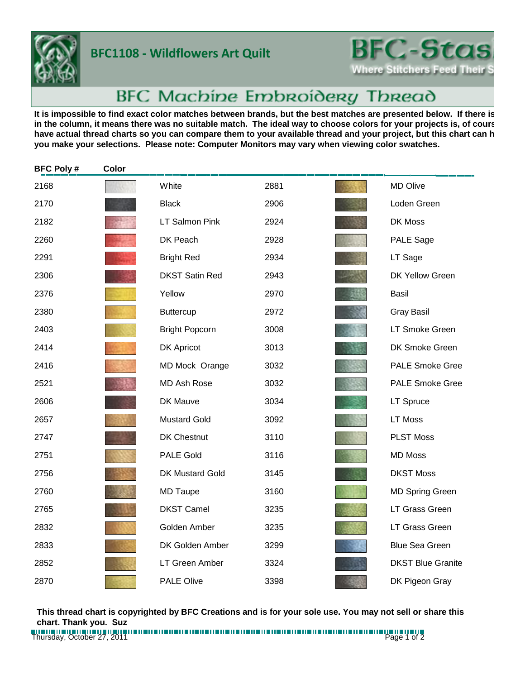

## **BFC1108 - Wildflowers Art Quilt**



## BFC Machine Embroidery Thread

It is impossible to find exact color matches between brands, but the best matches are presented below. If there is in the column, it means there was no suitable match. The ideal way to choose colors for your projects is, of cours have actual thread charts so you can compare them to your available thread and your project, but this chart can h **you make your selections. Please note: Computer Monitors may vary when viewing color swatches.**

| <b>BFC Poly#</b> | Color |                        |      |                          |
|------------------|-------|------------------------|------|--------------------------|
| 2168             |       | White                  | 2881 | MD Olive                 |
| 2170             |       | <b>Black</b>           | 2906 | Loden Green              |
| 2182             |       | <b>LT Salmon Pink</b>  | 2924 | DK Moss                  |
| 2260             |       | DK Peach               | 2928 | PALE Sage                |
| 2291             |       | <b>Bright Red</b>      | 2934 | LT Sage                  |
| 2306             |       | <b>DKST Satin Red</b>  | 2943 | DK Yellow Green          |
| 2376             |       | Yellow                 | 2970 | <b>Basil</b>             |
| 2380             |       | <b>Buttercup</b>       | 2972 | <b>Gray Basil</b>        |
| 2403             |       | <b>Bright Popcorn</b>  | 3008 | LT Smoke Green           |
| 2414             |       | DK Apricot             | 3013 | DK Smoke Green           |
| 2416             |       | MD Mock Orange         | 3032 | <b>PALE Smoke Gree</b>   |
| 2521             |       | <b>MD Ash Rose</b>     | 3032 | <b>PALE Smoke Gree</b>   |
| 2606             |       | DK Mauve               | 3034 | <b>LT Spruce</b>         |
| 2657             |       | <b>Mustard Gold</b>    | 3092 | LT Moss                  |
| 2747             |       | DK Chestnut            | 3110 | <b>PLST Moss</b>         |
| 2751             |       | <b>PALE Gold</b>       | 3116 | <b>MD Moss</b>           |
| 2756             |       | <b>DK Mustard Gold</b> | 3145 | <b>DKST Moss</b>         |
| 2760             |       | <b>MD Taupe</b>        | 3160 | <b>MD Spring Green</b>   |
| 2765             |       | <b>DKST Camel</b>      | 3235 | LT Grass Green           |
| 2832             |       | Golden Amber           | 3235 | LT Grass Green           |
| 2833             |       | DK Golden Amber        | 3299 | <b>Blue Sea Green</b>    |
| 2852             |       | <b>LT Green Amber</b>  | 3324 | <b>DKST Blue Granite</b> |
| 2870             |       | <b>PALE Olive</b>      | 3398 | DK Pigeon Gray           |

**This thread chart is copyrighted by BFC Creations and is for your sole use. You may not sell or share this chart. Thank you. Suz**